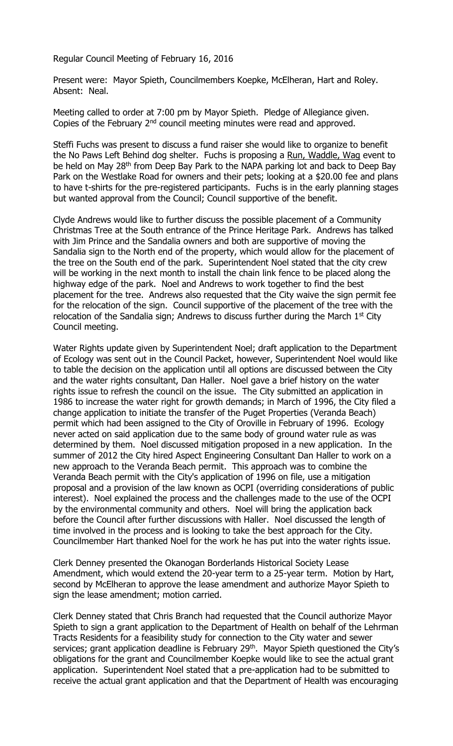Regular Council Meeting of February 16, 2016

Present were: Mayor Spieth, Councilmembers Koepke, McElheran, Hart and Roley. Absent: Neal.

Meeting called to order at 7:00 pm by Mayor Spieth. Pledge of Allegiance given. Copies of the February  $2<sup>nd</sup>$  council meeting minutes were read and approved.

Steffi Fuchs was present to discuss a fund raiser she would like to organize to benefit the No Paws Left Behind dog shelter. Fuchs is proposing a Run, Waddle, Wag event to be held on May 28<sup>th</sup> from Deep Bay Park to the NAPA parking lot and back to Deep Bay Park on the Westlake Road for owners and their pets; looking at a \$20.00 fee and plans to have t-shirts for the pre-registered participants. Fuchs is in the early planning stages but wanted approval from the Council; Council supportive of the benefit.

Clyde Andrews would like to further discuss the possible placement of a Community Christmas Tree at the South entrance of the Prince Heritage Park. Andrews has talked with Jim Prince and the Sandalia owners and both are supportive of moving the Sandalia sign to the North end of the property, which would allow for the placement of the tree on the South end of the park. Superintendent Noel stated that the city crew will be working in the next month to install the chain link fence to be placed along the highway edge of the park. Noel and Andrews to work together to find the best placement for the tree. Andrews also requested that the City waive the sign permit fee for the relocation of the sign. Council supportive of the placement of the tree with the relocation of the Sandalia sign; Andrews to discuss further during the March  $1<sup>st</sup>$  City Council meeting.

Water Rights update given by Superintendent Noel; draft application to the Department of Ecology was sent out in the Council Packet, however, Superintendent Noel would like to table the decision on the application until all options are discussed between the City and the water rights consultant, Dan Haller. Noel gave a brief history on the water rights issue to refresh the council on the issue. The City submitted an application in 1986 to increase the water right for growth demands; in March of 1996, the City filed a change application to initiate the transfer of the Puget Properties (Veranda Beach) permit which had been assigned to the City of Oroville in February of 1996. Ecology never acted on said application due to the same body of ground water rule as was determined by them. Noel discussed mitigation proposed in a new application. In the summer of 2012 the City hired Aspect Engineering Consultant Dan Haller to work on a new approach to the Veranda Beach permit. This approach was to combine the Veranda Beach permit with the City's application of 1996 on file, use a mitigation proposal and a provision of the law known as OCPI (overriding considerations of public interest). Noel explained the process and the challenges made to the use of the OCPI by the environmental community and others. Noel will bring the application back before the Council after further discussions with Haller. Noel discussed the length of time involved in the process and is looking to take the best approach for the City. Councilmember Hart thanked Noel for the work he has put into the water rights issue.

Clerk Denney presented the Okanogan Borderlands Historical Society Lease Amendment, which would extend the 20-year term to a 25-year term. Motion by Hart, second by McElheran to approve the lease amendment and authorize Mayor Spieth to sign the lease amendment; motion carried.

Clerk Denney stated that Chris Branch had requested that the Council authorize Mayor Spieth to sign a grant application to the Department of Health on behalf of the Lehrman Tracts Residents for a feasibility study for connection to the City water and sewer services; grant application deadline is February 29<sup>th</sup>. Mayor Spieth questioned the City's obligations for the grant and Councilmember Koepke would like to see the actual grant application. Superintendent Noel stated that a pre-application had to be submitted to receive the actual grant application and that the Department of Health was encouraging